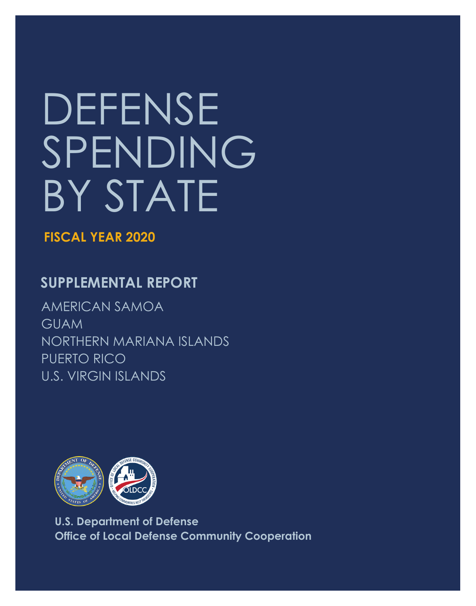# DEFENSE SPENDING BY STATE

**FISCAL YEAR 2020** 

## **SUPPLEMENTAL REPORT**

AMERICAN SAMOA GUAM NORTHERN MARIANA ISLANDS PUERTO RICO U.S. VIRGIN ISLANDS



**U.S. Department of Defense Office of Local Defense Community Cooperation**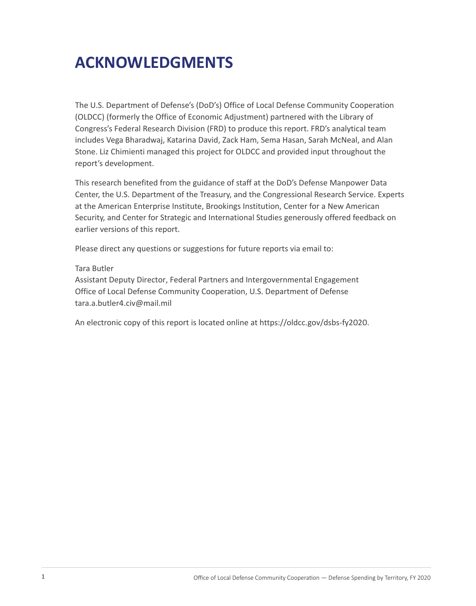# **ACKNOWLEDGMENTS**

The U.S. Department of Defense's (DoD's) Office of Local Defense Community Cooperation (OLDCC) (formerly the Office of Economic Adjustment) partnered with the Library of Congress's Federal Research Division (FRD) to produce this report. FRD's analytical team includes Vega Bharadwaj, Katarina David, Zack Ham, Sema Hasan, Sarah McNeal, and Alan Stone. Liz Chimienti managed this project for OLDCC and provided input throughout the report's development.

This research benefited from the guidance of staff at the DoD's Defense Manpower Data Center, the U.S. Department of the Treasury, and the Congressional Research Service. Experts at the American Enterprise Institute, Brookings Institution, Center for a New American Security, and Center for Strategic and International Studies generously offered feedback on earlier versions of this report.

Please direct any questions or suggestions for future reports via email to:

#### Tara Butler

Assistant Deputy Director, Federal Partners and Intergovernmental Engagement Office of Local Defense Community Cooperation, U.S. Department of Defense [tara.a.butler4.civ@mail.mil](mailto:tara.a.butler4.civ@mail.mil) 

An electronic copy of this report is located online at<https://oldcc.gov/dsbs-fy2020>.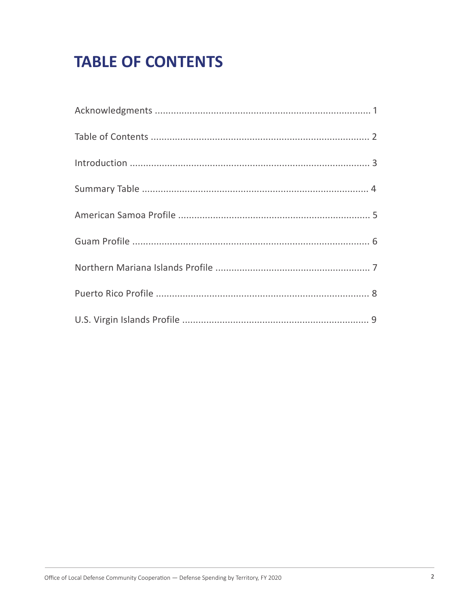# **TABLE OF CONTENTS**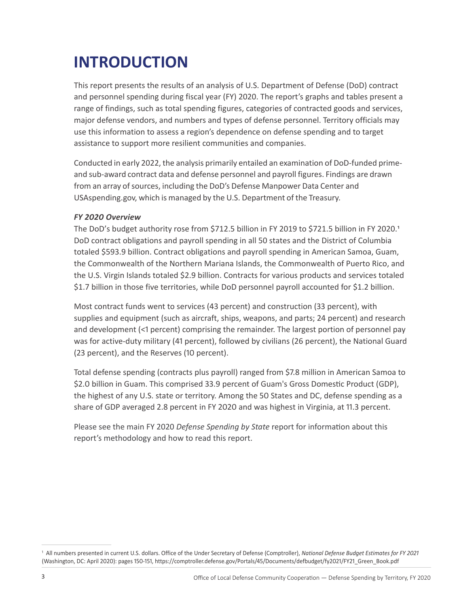# **INTRODUCTION**

This report presents the results of an analysis of U.S. Department of Defense (DoD) contract and personnel spending during fiscal year (FY) 2020. The report's graphs and tables present a range of findings, such as total spending figures, categories of contracted goods and services, major defense vendors, and numbers and types of defense personnel. Territory officials may use this information to assess a region's dependence on defense spending and to target assistance to support more resilient communities and companies.

Conducted in early 2022, the analysis primarily entailed an examination of DoD-funded primeand sub-award contract data and defense personnel and payroll figures. Findings are drawn from an array of sources, including the DoD's Defense Manpower Data Center and [USAspending.gov,](https://USAspending.gov) which is managed by the U.S. Department of the Treasury.

#### *FY 2020 Overview*

The DoD's budget authority rose from \$712.5 billion in FY 2019 to \$721.5 billion in FY 2020.<sup>1</sup> DoD contract obligations and payroll spending in all 50 states and the District of Columbia totaled \$593.9 billion. Contract obligations and payroll spending in American Samoa, Guam, the Commonwealth of the Northern Mariana Islands, the Commonwealth of Puerto Rico, and the U.S. Virgin Islands totaled \$2.9 billion. Contracts for various products and services totaled \$1.7 billion in those five territories, while DoD personnel payroll accounted for \$1.2 billion.

Most contract funds went to services (43 percent) and construction (33 percent), with supplies and equipment (such as aircraft, ships, weapons, and parts; 24 percent) and research and development (<1 percent) comprising the remainder. The largest portion of personnel pay was for active-duty military (41 percent), followed by civilians (26 percent), the National Guard (23 percent), and the Reserves (10 percent).

Total defense spending (contracts plus payroll) ranged from \$7.8 million in American Samoa to \$2.0 billion in Guam. This comprised 33.9 percent of Guam's Gross Domestic Product (GDP), the highest of any U.S. state or territory. Among the 50 States and DC, defense spending as a share of GDP averaged 2.8 percent in FY 2020 and was highest in Virginia, at 11.3 percent.

Please see the main FY 2020 *Defense Spending by State* report for information about this report's methodology and how to read this report.

<sup>&</sup>lt;sup>1</sup> All numbers presented in current U.S. dollars. Office of the Under Secretary of Defense (Comptroller), *National Defense Budget Estimates for FY 2021* (Washington, DC: April 2020): pages 150-151, [https://comptroller.defense.gov/Portals/45/Documents/defbudget/fy2021/FY21\\_Green\\_Book.pdf](https://comptroller.defense.gov/Portals/45/Documents/defbudget/fy2021/FY21_Green_Book.pdf)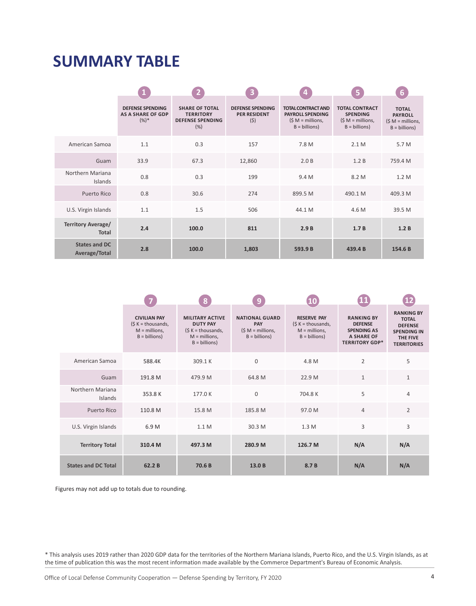## **SUMMARY TABLE**

|                                           |                                                                |                                                                             | $\overline{\mathbf{3}}$                               |                                                                                             | /5                                                                               | 6                                                              |
|-------------------------------------------|----------------------------------------------------------------|-----------------------------------------------------------------------------|-------------------------------------------------------|---------------------------------------------------------------------------------------------|----------------------------------------------------------------------------------|----------------------------------------------------------------|
|                                           | <b>DEFENSE SPENDING</b><br><b>AS A SHARE OF GDP</b><br>$(%)^*$ | <b>SHARE OF TOTAL</b><br><b>TERRITORY</b><br><b>DEFENSE SPENDING</b><br>(%) | <b>DEFENSE SPENDING</b><br><b>PER RESIDENT</b><br>(5) | <b>TOTAL CONTRACT AND</b><br><b>PAYROLL SPENDING</b><br>$(S M =$ millions,<br>$B = billion$ | <b>TOTAL CONTRACT</b><br><b>SPENDING</b><br>$(S M =$ millions,<br>$B = billion)$ | <b>TOTAL</b><br><b>PAYROLL</b><br>$(SM = millions,B = billion$ |
| American Samoa                            | 1.1                                                            | 0.3                                                                         | 157                                                   | 7.8 M                                                                                       | 2.1M                                                                             | 5.7 M                                                          |
| Guam                                      | 33.9                                                           | 67.3                                                                        | 12,860                                                | 2.0B                                                                                        | 1.2 B                                                                            | 759.4 M                                                        |
| Northern Mariana<br>Islands               | 0.8                                                            | 0.3                                                                         | 199                                                   | 9.4 M                                                                                       | 8.2 M                                                                            | 1.2 M                                                          |
| Puerto Rico                               | 0.8                                                            | 30.6                                                                        | 274                                                   | 899.5 M                                                                                     | 490.1 M                                                                          | 409.3 M                                                        |
| U.S. Virgin Islands                       | 1.1                                                            | 1.5                                                                         | 506                                                   | 44.1 M                                                                                      | 4.6 M                                                                            | 39.5 M                                                         |
| <b>Territory Average/</b><br><b>Total</b> | 2.4                                                            | 100.0                                                                       | 811                                                   | 2.9B                                                                                        | 1.7B                                                                             | 1.2B                                                           |
| <b>States and DC</b><br>Average/Total     | 2.8                                                            | 100.0                                                                       | 1,803                                                 | 593.9 B                                                                                     | 439.4 B                                                                          | 154.6 B                                                        |

|                             |                                                                                       | 8                                                                                                            | 9                                                                          |                                                                                      | $\mathbf{11}$                                                                                           |                                                                                                             |
|-----------------------------|---------------------------------------------------------------------------------------|--------------------------------------------------------------------------------------------------------------|----------------------------------------------------------------------------|--------------------------------------------------------------------------------------|---------------------------------------------------------------------------------------------------------|-------------------------------------------------------------------------------------------------------------|
|                             | <b>CIVILIAN PAY</b><br>$(S K = \text{thousands})$<br>$M =$ millions,<br>$B = billion$ | <b>MILITARY ACTIVE</b><br><b>DUTY PAY</b><br>$(S K = thousands,$<br>$M =$ millions,<br>$B = \text{billions}$ | <b>NATIONAL GUARD</b><br><b>PAY</b><br>$(S M =$ millions,<br>$B = billion$ | <b>RESERVE PAY</b><br>$(S K = \text{thousands})$<br>$M =$ millions,<br>$B = billion$ | <b>RANKING BY</b><br><b>DEFENSE</b><br><b>SPENDING AS</b><br><b>A SHARE OF</b><br><b>TERRITORY GDP*</b> | <b>RANKING BY</b><br><b>TOTAL</b><br><b>DEFENSE</b><br><b>SPENDING IN</b><br>THE FIVE<br><b>TERRITORIES</b> |
| American Samoa              | 588.4K                                                                                | 309.1K                                                                                                       | $\mathbf{0}$                                                               | 4.8 M                                                                                | $\overline{2}$                                                                                          | 5                                                                                                           |
| Guam                        | 191.8 M                                                                               | 479.9 M                                                                                                      | 64.8 M                                                                     | 22.9 M                                                                               | $\mathbf{1}$                                                                                            | $\mathbf{1}$                                                                                                |
| Northern Mariana<br>Islands | 353.8K                                                                                | 177.0K                                                                                                       | $\mathbf{0}$                                                               | 704.8 K                                                                              | 5                                                                                                       | $\overline{4}$                                                                                              |
| Puerto Rico                 | 110.8 M                                                                               | 15.8 M                                                                                                       | 185.8 M                                                                    | 97.0 M                                                                               | 4                                                                                                       | $\overline{2}$                                                                                              |
| U.S. Virgin Islands         | 6.9 M                                                                                 | 1.1 M                                                                                                        | 30.3 M                                                                     | 1.3M                                                                                 | 3                                                                                                       | 3                                                                                                           |
| <b>Territory Total</b>      | 310.4 M                                                                               | 497.3 M                                                                                                      | 280.9 M                                                                    | 126.7 M                                                                              | N/A                                                                                                     | N/A                                                                                                         |
| <b>States and DC Total</b>  | 62.2B                                                                                 | 70.6 <sub>B</sub>                                                                                            | 13.0B                                                                      | 8.7 B                                                                                | N/A                                                                                                     | N/A                                                                                                         |

Figures may not add up to totals due to rounding.

\* This analysis uses 2019 rather than 2020 GDP data for the territories of the Northern Mariana Islands, Puerto Rico, and the U.S. Virgin Islands, as at the time of publication this was the most recent information made available by the Commerce Department's Bureau of Economic Analysis.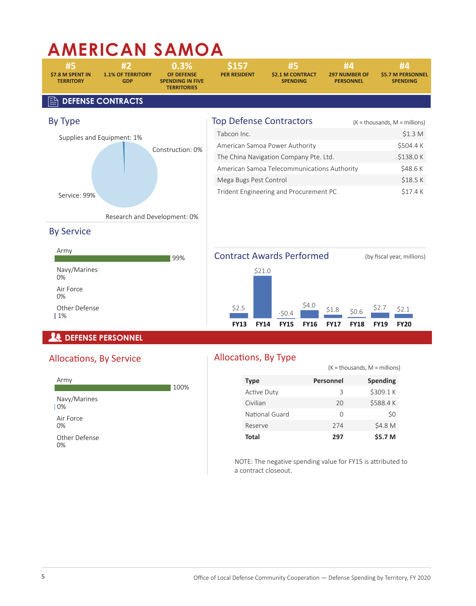# **AMERICAN SAMOA**

| #5<br>\$7.8 M SPENT IN<br><b>TERRITORY</b> | #2<br><b>1.1% OF TERRITORY</b><br><b>GDP</b> | 0.3%<br><b>OF DEFENSE</b><br><b>SPENDING IN FIVE</b><br><b>TERRITORIES</b> | \$157<br><b>PER RESIDENT</b>           |                                | #5<br>\$2.1 M CONTRACT<br><b>SPENDING</b> | #4<br><b>297 NUMBER OF</b><br><b>PERSONNEL</b> | #4<br><b>\$5.7 M PERSONNEL</b><br><b>SPENDING</b> |
|--------------------------------------------|----------------------------------------------|----------------------------------------------------------------------------|----------------------------------------|--------------------------------|-------------------------------------------|------------------------------------------------|---------------------------------------------------|
|                                            | <b>DEFENSE CONTRACTS</b>                     |                                                                            |                                        |                                |                                           |                                                |                                                   |
| By Type                                    |                                              |                                                                            | <b>Top Defense Contractors</b>         |                                |                                           |                                                | $(K = \text{thousands}, M = \text{millions})$     |
|                                            | Supplies and Equipment: 1%                   |                                                                            | Tabcon Inc.                            |                                |                                           |                                                | \$1.3 M                                           |
|                                            |                                              | Construction: 0%                                                           |                                        | American Samoa Power Authority |                                           |                                                | \$504.4K                                          |
|                                            |                                              |                                                                            | The China Navigation Company Pte. Ltd. |                                |                                           |                                                | \$138.0K                                          |
|                                            |                                              |                                                                            |                                        |                                |                                           | American Samoa Telecommunications Authority    | \$48.6K                                           |
|                                            |                                              |                                                                            | Mega Bugs Pest Control                 |                                |                                           |                                                | \$18.5K                                           |
| Service: 99%                               | Research and Development: 0%                 |                                                                            | Trident Engineering and Procurement PC |                                |                                           |                                                | \$17.4K                                           |
|                                            |                                              |                                                                            |                                        |                                |                                           |                                                |                                                   |
| <b>By Service</b>                          |                                              |                                                                            |                                        |                                |                                           |                                                |                                                   |
| Army                                       |                                              | 99%                                                                        | <b>Contract Awards Performed</b>       |                                |                                           |                                                | (by fiscal year, millions)                        |
| Navy/Marines<br>0%                         |                                              |                                                                            |                                        | \$21.0                         |                                           |                                                |                                                   |
| Air Force<br>0%                            |                                              |                                                                            |                                        |                                |                                           |                                                |                                                   |
| Other Defense<br>  1%                      |                                              |                                                                            | \$2.5                                  | $-50.4$                        | \$4.0                                     | \$1.8<br>\$0.6                                 | \$2.7<br>52.1                                     |
|                                            |                                              |                                                                            | <b>FY13</b>                            | <b>FY14</b><br><b>FY15</b>     | <b>FY16</b>                               | <b>FY17</b><br><b>FY18</b>                     | <b>FY20</b><br><b>FY19</b>                        |
|                                            | <b>DEFENSE PERSONNEL</b>                     |                                                                            |                                        |                                |                                           |                                                |                                                   |

## **Le DEFENSE PERSONNEL**

## Allocations, By Service



## Allocations, By Type

|                    | $(K = \text{thousands}, M = \text{millions})$ |                 |  |
|--------------------|-----------------------------------------------|-----------------|--|
| <b>Type</b>        | <b>Personnel</b>                              | <b>Spending</b> |  |
| <b>Active Duty</b> | З                                             | \$309.1K        |  |
| Civilian           | 20                                            | \$588.4K        |  |
| National Guard     | O                                             | \$0             |  |
| Reserve            | 274                                           | \$4.8 M         |  |
| Total              | 297                                           | \$5.7 M         |  |

NOTE: The negative spending value for FY15 is attributed to a contract closeout.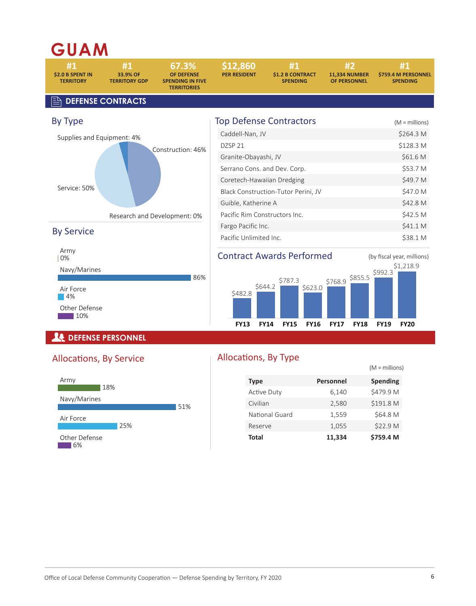## **GUAM**



#### **DEFENSE PERSONNEL**

#### Allocations, By Service



## Allocations, By Type

| <b>Type</b>        | <b>Personnel</b> | <b>Spending</b> |
|--------------------|------------------|-----------------|
| <b>Active Duty</b> | 6,140            | \$479.9 M       |
| Civilian           | 2,580            | \$191.8 M       |
| National Guard     | 1,559            | \$64.8 M        |
| Reserve            | 1,055            | \$22.9 M        |
| Total              | 11.334           | \$759.4 M       |

 $(M -$ millions)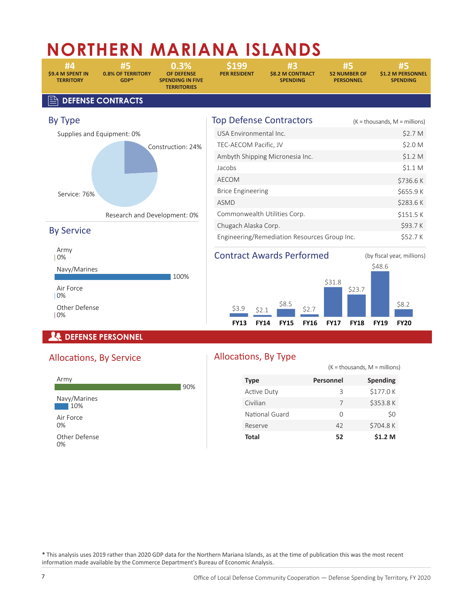# **NORTHERN MARIANA ISLANDS**

**\$9.4 M SPENT IN 0.8% OF TERRITORY OF DEFENSE PER RESIDENT \$8.2 M CONTRACT 52 NUMBER OF \$1.2 M PERSONNEL** 

**TERRITORY GDP\* SPENDING IN FIVE SPENDING PERSONNEL SPENDING TERRITORIES** 

100%

**#4 #5 0.3% \$199 #3 #5 #5** 

, **DEFENSE CONTRACTS**



| <b>Top Defense Contractors</b>               | $(K = \text{thousands}, M = \text{millions})$ |
|----------------------------------------------|-----------------------------------------------|
| USA Environmental Inc.                       | \$2.7 M                                       |
| TEC-AECOM Pacific, JV                        | \$2.0 M                                       |
| Ambyth Shipping Micronesia Inc.              | \$1.2 <sub>M</sub>                            |
| Jacobs                                       | \$1.1 <sub>M</sub>                            |
| <b>AECOM</b>                                 | \$736.6K                                      |
| <b>Brice Engineering</b>                     | \$655.9K                                      |
| <b>ASMD</b>                                  | \$283.6K                                      |
| Commonwealth Utilities Corp.                 | \$151.5 K                                     |
| Chugach Alaska Corp.                         | \$93.7K                                       |
| Engineering/Remediation Resources Group Inc. | \$52.7K                                       |







## *<u><b>A* DEFENSE PERSONNEL</u>

Navy/Marines

Other Defense

Air Force 0%

0%

## Allocations, By Service



## Allocations, By Type

|                    |                  | $(K = \text{thousands}, M = \text{millions})$ |
|--------------------|------------------|-----------------------------------------------|
| <b>Type</b>        | <b>Personnel</b> | <b>Spending</b>                               |
| <b>Active Duty</b> | З                | \$177.0K                                      |
| Civilian           | 7                | \$353.8K                                      |
| National Guard     | Ω                | \$0                                           |
| Reserve            | 42               | \$704.8K                                      |
| Total              | 52               | \$1.2 M                                       |

\* This analysis uses 2019 rather than 2020 GDP data for the Northern Mariana Islands, as at the time of publication this was the most recent information made available by the Commerce Department's Bureau of Economic Analysis.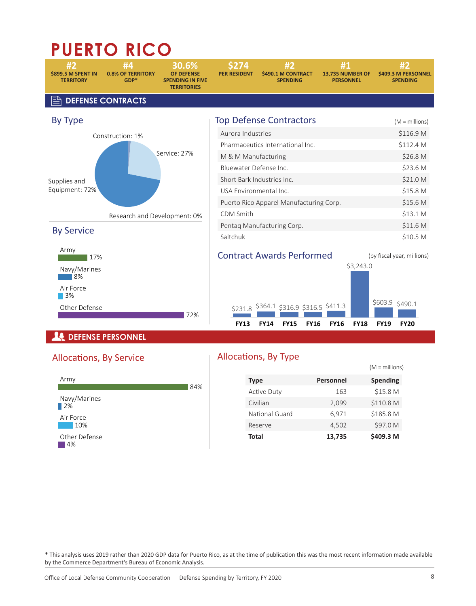# **PUERTO RICO**



## **DEFENSE PERSONNEL**

## Allocations, By Service



#### Allocations, By Type

|                    |           | $(M =$ millions) |
|--------------------|-----------|------------------|
| <b>Type</b>        | Personnel | <b>Spending</b>  |
| <b>Active Duty</b> | 163       | \$15.8 M         |
| Civilian           | 2,099     | \$110.8 M        |
| National Guard     | 6,971     | \$185.8 M        |
| Reserve            | 4,502     | \$97.0 M         |
| Total              | 13,735    | \$409.3 M        |

\* This analysis uses 2019 rather than 2020 GDP data for Puerto Rico, as at the time of publication this was the most recent information made available by the Commerce Department's Bureau of Economic Analysis.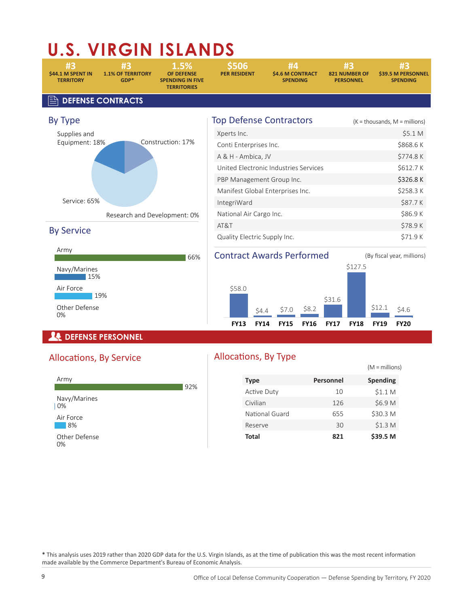# **U.S. VIRGIN ISLANDS**

**\$44.1 M SPENT IN 1.1% OF TERRITORY OF DEFENSE PER RESIDENT \$4.6 M CONTRACT 821 NUMBER OF \$39.5 M PERSONNEL** 

**TERRITORY GDP\* SPENDING IN FIVE SPENDING PERSONNEL SPENDING TERRITORIES** 

**#3 #3 1.5% \$506 #4 #3 #3** 

#### , **DEFENSE CONTRACTS**



#### By Service



| <b>Top Defense Contractors</b>        | $(K = \text{thousands}, M = \text{millions})$ |
|---------------------------------------|-----------------------------------------------|
| Xperts Inc.                           | \$5.1 M                                       |
| Conti Enterprises Inc.                | \$868.6K                                      |
| A & H - Ambica, JV                    | \$774.8K                                      |
| United Electronic Industries Services | \$612.7K                                      |
| PBP Management Group Inc.             | \$326.8K                                      |
| Manifest Global Enterprises Inc.      | \$258.3K                                      |
| IntegriWard                           | \$87.7K                                       |
| National Air Cargo Inc.               | \$86.9K                                       |
| AT&T                                  | \$78.9K                                       |
| Quality Electric Supply Inc.          | S71.9 K                                       |

## Contract Awards Performed (By fiscal year, millions)



## *<u><b>A* DEFENSE PERSONNEL</u>

## Allocations, By Service



## Allocations, By Type

|                    |           | $(M =$ millions)   |
|--------------------|-----------|--------------------|
| <b>Type</b>        | Personnel | <b>Spending</b>    |
| <b>Active Duty</b> | 10        | \$1.1 <sub>M</sub> |
| Civilian           | 126       | \$6.9 M            |
| National Guard     | 655       | \$30.3 M           |
| Reserve            | 30        | \$1.3 <sub>M</sub> |
| Total              | 821       | \$39.5 M           |

\* This analysis uses 2019 rather than 2020 GDP data for the U.S. Virgin Islands, as at the time of publication this was the most recent information made available by the Commerce Department's Bureau of Economic Analysis.